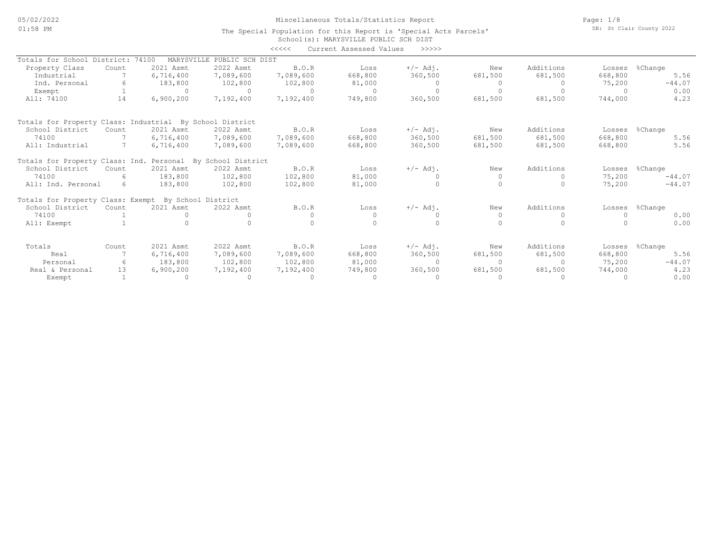05/02/2022 01:58 PM

# Miscellaneous Totals/Statistics Report

Page: 1/8 DB: St Clair County 2022

#### School(s): MARYSVILLE PUBLIC SCH DIST The Special Population for this Report is 'Special Acts Parcels' <<<<< Current Assessed Values >>>>>

|                                                          |       |                     |                    | ノンノンノ     | Cullent Assessed values | -----      |          |           |         |          |
|----------------------------------------------------------|-------|---------------------|--------------------|-----------|-------------------------|------------|----------|-----------|---------|----------|
| Totals for School District:                              |       | 74100<br>MARYSVILLE | PUBLIC SCH DIST    |           |                         |            |          |           |         |          |
| Property Class                                           | Count | 2021 Asmt           | 2022 Asmt          | B.O.R     | Loss                    | $+/-$ Adj. | New      | Additions | Losses  | %Change  |
| Industrial                                               |       | 6,716,400           | 7,089,600          | 7,089,600 | 668,800                 | 360,500    | 681,500  | 681,500   | 668,800 | 5.56     |
| Ind. Personal                                            |       | 183,800             | 102,800            | 102,800   | 81,000                  | 0          |          |           | 75,200  | $-44.07$ |
| Exempt                                                   |       | $\Omega$            |                    | $\Omega$  |                         | $\Omega$   |          |           |         | 0.00     |
| All: 74100                                               | 14    | 6,900,200           | 7,192,400          | 7,192,400 | 749,800                 | 360,500    | 681,500  | 681,500   | 744,000 | 4.23     |
| Totals for Property Class: Industrial By School District |       |                     |                    |           |                         |            |          |           |         |          |
| School District                                          | Count | 2021 Asmt           | 2022 Asmt          | B.O.R     | Loss                    | $+/-$ Adj. | New      | Additions | Losses  | %Change  |
| 74100                                                    |       | 6,716,400           | 7,089,600          | 7,089,600 | 668,800                 | 360,500    | 681,500  | 681,500   | 668,800 | 5.56     |
| All: Industrial                                          |       | 6,716,400           | 7,089,600          | 7,089,600 | 668,800                 | 360,500    | 681,500  | 681,500   | 668,800 | 5.56     |
| Totals for Property Class: Ind. Personal                 |       |                     | By School District |           |                         |            |          |           |         |          |
| School District                                          | Count | 2021 Asmt           | 2022 Asmt          | B.O.R     | Loss                    | $+/-$ Adj. | New      | Additions | Losses  | %Change  |
| 74100                                                    | 6     | 183,800             | 102,800            | 102,800   | 81,000                  |            | $\Omega$ | $\Omega$  | 75,200  | $-44.07$ |
| All: Ind. Personal                                       | 6     | 183,800             | 102,800            | 102,800   | 81,000                  |            |          |           | 75,200  | $-44.07$ |
| Totals for Property Class: Exempt By School District     |       |                     |                    |           |                         |            |          |           |         |          |
| School District                                          | Count | 2021 Asmt           | 2022 Asmt          | B.O.R     | Loss                    | $+/-$ Adj. | New      | Additions | Losses  | %Change  |
| 74100                                                    |       | $\Omega$            |                    |           |                         |            | $\Omega$ |           |         | 0.00     |
| All: Exempt                                              |       |                     |                    |           |                         |            |          |           |         | 0.00     |
| Totals                                                   | Count | 2021 Asmt           | 2022 Asmt          | B.O.R     | Loss                    | $+/-$ Adj. | New      | Additions | Losses  | %Change  |
| Real                                                     |       | 6,716,400           | 7,089,600          | 7,089,600 | 668,800                 | 360,500    | 681,500  | 681,500   | 668,800 | 5.56     |
| Personal                                                 |       | 183,800             | 102,800            | 102,800   | 81,000                  | $\Omega$   | $\cap$   | $\Omega$  | 75,200  | $-44.07$ |
| Real & Personal                                          | 13    | 6,900,200           | 7,192,400          | 7,192,400 | 749,800                 | 360,500    | 681,500  | 681,500   | 744,000 | 4.23     |
| Exempt                                                   |       | $\Omega$            |                    |           |                         | $\Omega$   |          |           |         | 0.00     |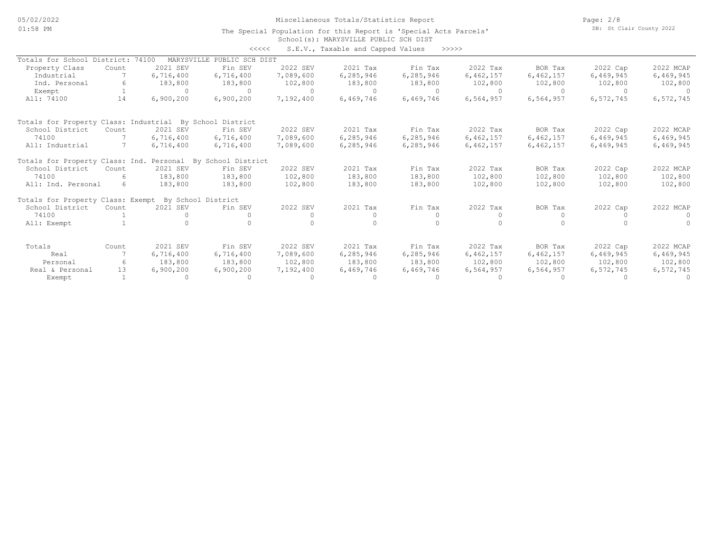05/02/2022 01:58 PM

Miscellaneous Totals/Statistics Report

Page: 2/8 DB: St Clair County 2022

#### School(s): MARYSVILLE PUBLIC SCH DIST The Special Population for this Report is 'Special Acts Parcels'

| くくくくく | S.E.V., Taxable and Capped Values |  |  |  | >>>>> |
|-------|-----------------------------------|--|--|--|-------|
|-------|-----------------------------------|--|--|--|-------|

|                                                          |            |                    |                            |           | U.L.V., randore and capped varded |             |           |           |           |           |
|----------------------------------------------------------|------------|--------------------|----------------------------|-----------|-----------------------------------|-------------|-----------|-----------|-----------|-----------|
| Totals for School District:                              |            | 74100              | MARYSVILLE PUBLIC SCH DIST |           |                                   |             |           |           |           |           |
| Property Class                                           | Count      | 2021 SEV           | Fin SEV                    | 2022 SEV  | 2021 Tax                          | Fin Tax     | 2022 Tax  | BOR Tax   | 2022 Cap  | 2022 MCAP |
| Industrial                                               |            | 6,716,400          | 6,716,400                  | 7,089,600 | 6, 285, 946                       | 6,285,946   | 6,462,157 | 6,462,157 | 6,469,945 | 6,469,945 |
| Ind. Personal                                            | 6          | 183,800            | 183,800                    | 102,800   | 183,800                           | 183,800     | 102,800   | 102,800   | 102,800   | 102,800   |
| Exempt                                                   |            | $\Omega$           | $\Omega$                   | $\Omega$  | $\Omega$                          | $\Omega$    | $\Omega$  |           | $\cap$    |           |
| All: 74100                                               | 14         | 6,900,200          | 6,900,200                  | 7,192,400 | 6,469,746                         | 6,469,746   | 6,564,957 | 6,564,957 | 6,572,745 | 6,572,745 |
| Totals for Property Class: Industrial By School District |            |                    |                            |           |                                   |             |           |           |           |           |
| School District                                          | Count      | 2021 SEV           | Fin SEV                    | 2022 SEV  | 2021 Tax                          | Fin Tax     | 2022 Tax  | BOR Tax   | 2022 Cap  | 2022 MCAP |
| 74100                                                    |            | 6,716,400          | 6,716,400                  | 7,089,600 | 6,285,946                         | 6,285,946   | 6,462,157 | 6,462,157 | 6,469,945 | 6,469,945 |
| All: Industrial                                          |            | 6,716,400          | 6,716,400                  | 7,089,600 | 6,285,946                         | 6,285,946   | 6,462,157 | 6,462,157 | 6,469,945 | 6,469,945 |
| Totals for Property Class: Ind.                          |            | Personal           | By School District         |           |                                   |             |           |           |           |           |
| School District                                          | Count      | 2021 SEV           | Fin SEV                    | 2022 SEV  | 2021 Tax                          | Fin Tax     | 2022 Tax  | BOR Tax   | 2022 Cap  | 2022 MCAP |
| 74100                                                    | $\epsilon$ | 183,800            | 183,800                    | 102,800   | 183,800                           | 183,800     | 102,800   | 102,800   | 102,800   | 102,800   |
| All: Ind. Personal                                       | 6          | 183,800            | 183,800                    | 102,800   | 183,800                           | 183,800     | 102,800   | 102,800   | 102,800   | 102,800   |
| Totals for Property Class: Exempt                        |            | By School District |                            |           |                                   |             |           |           |           |           |
| School District                                          | Count      | 2021 SEV           | Fin SEV                    | 2022 SEV  | 2021 Tax                          | Fin Tax     | 2022 Tax  | BOR Tax   | 2022 Cap  | 2022 MCAP |
| 74100                                                    |            | $\Omega$           |                            | $\Omega$  | $\circ$                           | $\Omega$    |           |           |           |           |
| All: Exempt                                              |            |                    |                            |           | $\cap$                            |             |           |           |           |           |
| Totals                                                   | Count      | 2021 SEV           | Fin SEV                    | 2022 SEV  | 2021 Tax                          | Fin Tax     | 2022 Tax  | BOR Tax   | 2022 Cap  | 2022 MCAP |
| Real                                                     |            | 6,716,400          | 6,716,400                  | 7,089,600 | 6, 285, 946                       | 6, 285, 946 | 6,462,157 | 6,462,157 | 6,469,945 | 6,469,945 |
| Personal                                                 | 6          | 183,800            | 183,800                    | 102,800   | 183,800                           | 183,800     | 102,800   | 102,800   | 102,800   | 102,800   |
| Real & Personal                                          | 13         | 6,900,200          | 6,900,200                  | 7,192,400 | 6,469,746                         | 6,469,746   | 6,564,957 | 6,564,957 | 6,572,745 | 6,572,745 |
| Exempt                                                   |            | $\Omega$           | $\Omega$                   | $\Omega$  | $\Omega$                          | $\Omega$    |           |           |           |           |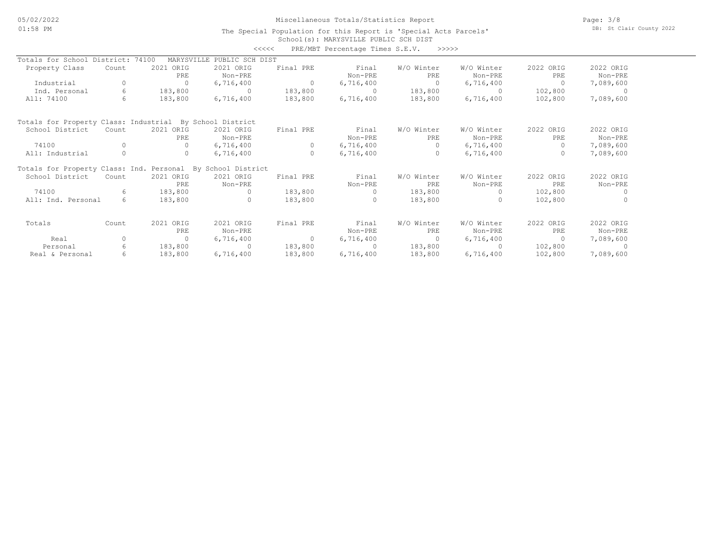### Miscellaneous Totals/Statistics Report

Page: 3/8 DB: St Clair County 2022

#### School(s): MARYSVILLE PUBLIC SCH DIST The Special Population for this Report is 'Special Acts Parcels'

|                                                             |          |            |                    | くくくくく          | PRE/MBT Percentage Times S.E.V. | >>>>>          |            |           |           |
|-------------------------------------------------------------|----------|------------|--------------------|----------------|---------------------------------|----------------|------------|-----------|-----------|
| Totals for School District: 74100                           |          | MARYSVILLE | PUBLIC SCH DIST    |                |                                 |                |            |           |           |
| Property Class                                              | Count    | 2021 ORIG  | 2021 ORIG          | Final PRE      | Final                           | W/O Winter     | W/O Winter | 2022 ORIG | 2022 ORIG |
|                                                             |          | PRE        | Non-PRE            |                | Non-PRE                         | PRE            | Non-PRE    | PRE       | Non-PRE   |
| Industrial                                                  | $\Omega$ | $\Omega$   | 6,716,400          | $\overline{0}$ | 6,716,400                       | $\Omega$       | 6,716,400  | $\Omega$  | 7,089,600 |
| Ind. Personal                                               | 6        | 183,800    | $\Omega$           | 183,800        | $\Omega$                        | 183,800        | $\Omega$   | 102,800   | - 0       |
| All: 74100                                                  | 6        | 183,800    | 6,716,400          | 183,800        | 6,716,400                       | 183,800        | 6,716,400  | 102,800   | 7,089,600 |
| Totals for Property Class: Industrial                       |          |            | By School District |                |                                 |                |            |           |           |
| School District                                             | Count    | 2021 ORIG  | 2021 ORIG          | Final PRE      | Final                           | W/O Winter     | W/O Winter | 2022 ORIG | 2022 ORIG |
|                                                             |          | PRE        | Non-PRE            |                | Non-PRE                         | PRE            | Non-PRE    | PRE       | Non-PRE   |
| 74100                                                       | $\Omega$ | $\Omega$   | 6,716,400          | $\circ$        | 6,716,400                       | $\Omega$       | 6,716,400  | $\Omega$  | 7,089,600 |
| All: Industrial                                             | $\circ$  | 0          | 6,716,400          | $\circ$        | 6,716,400                       | $\circ$        | 6,716,400  | $\Omega$  | 7,089,600 |
| Totals for Property Class: Ind. Personal By School District |          |            |                    |                |                                 |                |            |           |           |
| School District                                             | Count    | 2021 ORIG  | 2021 ORIG          | Final PRE      | Final                           | W/O Winter     | W/O Winter | 2022 ORIG | 2022 ORIG |
|                                                             |          | PRE.       | Non-PRE            |                | Non-PRE                         | PRE.           | Non-PRE    | PRE       | Non-PRE   |
| 74100                                                       | 6        | 183,800    | $\Omega$           | 183,800        |                                 | 183,800        | $\cap$     | 102,800   | $\Omega$  |
| All: Ind. Personal                                          | 6        | 183,800    | $\Omega$           | 183,800        |                                 | 183,800        | $\Omega$   | 102,800   | $\Omega$  |
| Totals                                                      | Count    | 2021 ORIG  | 2021 ORIG          | Final PRE      | Final                           | W/O Winter     | W/O Winter | 2022 ORIG | 2022 ORIG |
|                                                             |          | PRE        | Non-PRE            |                | Non-PRE                         | PRE            | Non-PRE    | PRE       | Non-PRE   |
| Real                                                        | $\circ$  | $\Omega$   | 6,716,400          | $\sim$ 0       | 6,716,400                       | $\overline{0}$ | 6,716,400  | $\sim$ 0  | 7,089,600 |
| Personal                                                    | 6        | 183,800    | $\Omega$           | 183,800        | $\cap$                          | 183,800        | $\Omega$   | 102,800   | - 0       |
| Real & Personal                                             | 6        | 183,800    | 6,716,400          | 183,800        | 6,716,400                       | 183,800        | 6,716,400  | 102,800   | 7,089,600 |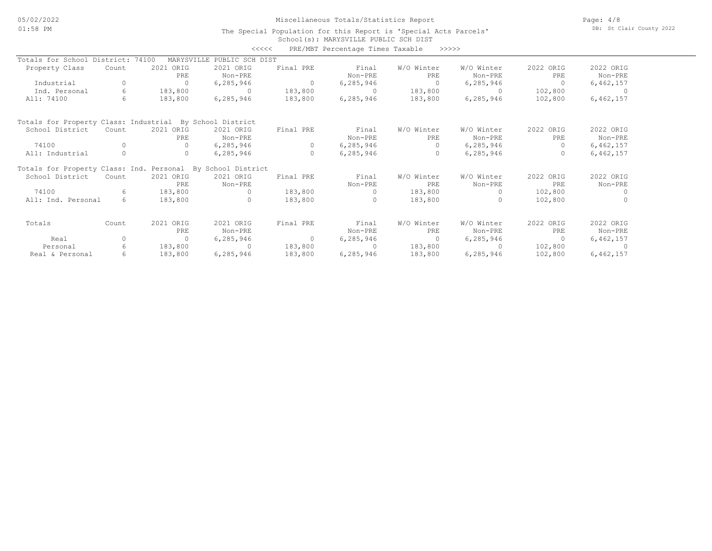### Miscellaneous Totals/Statistics Report

Page: 4/8 DB: St Clair County 2022

#### School(s): MARYSVILLE PUBLIC SCH DIST The Special Population for this Report is 'Special Acts Parcels'

|                                                             |          |                     | <<<<            |           | PRE/MBT Percentage Times Taxable | >>>>>      |             |           |           |
|-------------------------------------------------------------|----------|---------------------|-----------------|-----------|----------------------------------|------------|-------------|-----------|-----------|
| Totals for School District:                                 |          | 74100<br>MARYSVILLE | PUBLIC SCH DIST |           |                                  |            |             |           |           |
| Property Class                                              | Count    | 2021 ORIG           | 2021 ORIG       | Final PRE | Final                            | W/O Winter | W/O Winter  | 2022 ORIG | 2022 ORIG |
|                                                             |          | PRE                 | Non-PRE         |           | Non-PRE                          | PRE        | Non-PRE     | PRE       | Non-PRE   |
| Industrial                                                  |          | $\Omega$            | 6, 285, 946     | $\circ$   | 6,285,946                        | $\circ$    | 6,285,946   | 0         | 6,462,157 |
| Ind. Personal                                               | 6        | 183,800             | $\Omega$        | 183,800   |                                  | 183,800    | $\Omega$    | 102,800   |           |
| All: 74100                                                  | 6        | 183,800             | 6, 285, 946     | 183,800   | 6,285,946                        | 183,800    | 6,285,946   | 102,800   | 6,462,157 |
| Totals for Property Class: Industrial By School District    |          |                     |                 |           |                                  |            |             |           |           |
| School District                                             | Count    | 2021 ORIG           | 2021 ORIG       | Final PRE | Final                            | W/O Winter | W/O Winter  | 2022 ORIG | 2022 ORIG |
|                                                             |          | PRE                 | Non-PRE         |           | Non-PRE                          | <b>PRE</b> | Non-PRE     | PRE       | Non-PRE   |
| 74100                                                       |          | $\Omega$            | 6, 285, 946     | 0         | 6,285,946                        | $\Omega$   | 6,285,946   | $\Omega$  | 6,462,157 |
| All: Industrial                                             |          | $\circ$             | 6,285,946       | $\Omega$  | 6,285,946                        | $\circ$    | 6,285,946   | $\Omega$  | 6,462,157 |
| Totals for Property Class: Ind. Personal By School District |          |                     |                 |           |                                  |            |             |           |           |
| School District                                             | Count    | 2021 ORIG           | 2021 ORIG       | Final PRE | Final                            | W/O Winter | W/O Winter  | 2022 ORIG | 2022 ORIG |
|                                                             |          | PRE                 | Non-PRE         |           | Non-PRE                          | PRE        | Non-PRE     | PRE       | Non-PRE   |
| 74100                                                       | 6        | 183,800             | $\bigcap$       | 183,800   |                                  | 183,800    |             | 102,800   |           |
| All: Ind. Personal                                          | 6        | 183,800             | O.              | 183,800   |                                  | 183,800    | $\bigcap$   | 102,800   |           |
| Totals                                                      | Count    | 2021 ORIG           | 2021 ORIG       | Final PRE | Final                            | W/O Winter | W/O Winter  | 2022 ORIG | 2022 ORIG |
|                                                             |          | PRE                 | Non-PRE         |           | Non-PRE                          | PRE        | Non-PRE     | PRE       | Non-PRE   |
| Real                                                        | $\Omega$ | $\Omega$            | 6, 285, 946     | $\Omega$  | 6,285,946                        | $\Omega$   | 6,285,946   | $\Omega$  | 6,462,157 |
| Personal                                                    | 6        | 183,800             | $\Omega$        | 183,800   | $\Omega$                         | 183,800    | $\cap$      | 102,800   |           |
| Real & Personal                                             | 6        | 183,800             | 6, 285, 946     | 183,800   | 6, 285, 946                      | 183,800    | 6, 285, 946 | 102,800   | 6,462,157 |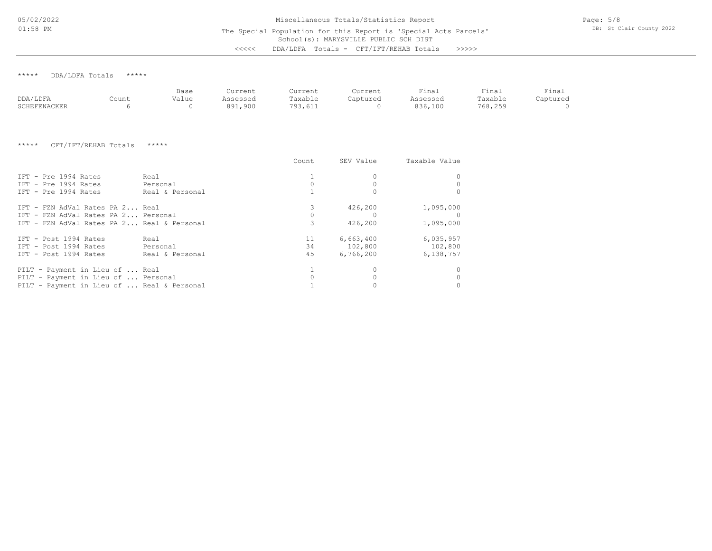05/02/2022 01:58 PM

The Special Population for this Report is 'Special Acts Parcels'

Page: 5/8 DB: St Clair County 2022

School(s): MARYSVILLE PUBLIC SCH DIST <<<<< DDA/LDFA Totals - CFT/IFT/REHAB Totals >>>>>

\*\*\*\*\* DDA/LDFA Totals \*\*\*\*\*

|              |       | Base  | Current        | Current | Current  | Final    | Final   | Finai    |
|--------------|-------|-------|----------------|---------|----------|----------|---------|----------|
| DDA/LDFA     | Count | Value | Assessed       | Taxable | Captured | Assessed | Taxable | Captured |
| SCHEFENACKER |       |       | 900 ,⊥ر<br>891 | 793,611 |          | 836,100  | 768,255 |          |

\*\*\*\*\* CFT/IFT/REHAB Totals \*\*\*\*\*

|                                            |                 | Count | SEV Value | Taxable Value |
|--------------------------------------------|-----------------|-------|-----------|---------------|
| IFT - Pre 1994 Rates                       | Real            |       |           |               |
| TFT - Pre 1994 Rates                       | Personal        |       |           |               |
| IFT - Pre 1994 Rates                       | Real & Personal |       |           |               |
| IFT - FZN AdVal Rates PA 2 Real            |                 |       | 426,200   | 1,095,000     |
| IFT - FZN AdVal Rates PA 2 Personal        |                 |       |           |               |
| IFT - FZN AdVal Rates PA 2 Real & Personal |                 |       | 426,200   | 1,095,000     |
| IFT - Post 1994 Rates                      | Real            | 11    | 6,663,400 | 6,035,957     |
| IFT - Post 1994 Rates                      | Personal        | 34    | 102,800   | 102,800       |
| IFT - Post 1994 Rates                      | Real & Personal | 45    | 6,766,200 | 6,138,757     |
| PILT - Payment in Lieu of  Real            |                 |       |           |               |
| PILT - Payment in Lieu of  Personal        |                 |       |           |               |
| PILT - Payment in Lieu of  Real & Personal |                 |       |           |               |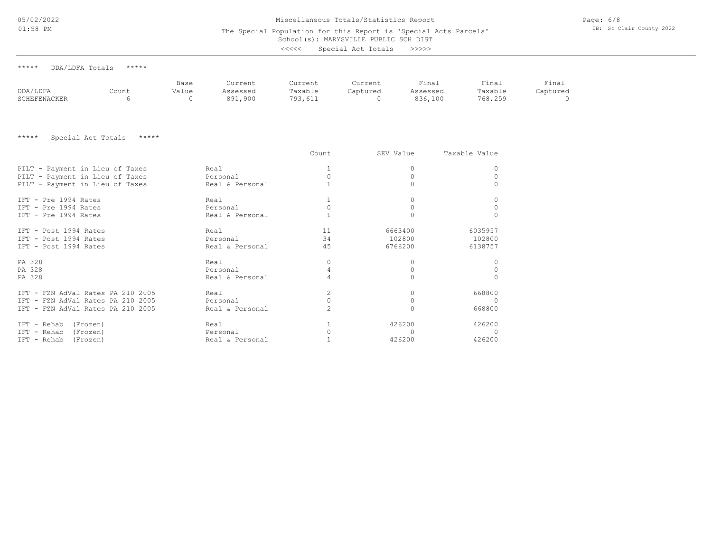05/02/2022

#### Miscellaneous Totals/Statistics Report

Page: 6/8 DB: St Clair County 2022

| $01:58$ PM                      |                             |                           | The Special Population for this Report is 'Special Acts Parcels'<br>School(s): MARYSVILLE PUBLIC SCH DIST |                               |                                 |                              |                             |                        |  |
|---------------------------------|-----------------------------|---------------------------|-----------------------------------------------------------------------------------------------------------|-------------------------------|---------------------------------|------------------------------|-----------------------------|------------------------|--|
|                                 |                             |                           |                                                                                                           | <<<<                          | Special Act Totals              | >>>>>>                       |                             |                        |  |
| *****<br>DDA/LDFA Totals        | *****                       |                           |                                                                                                           |                               |                                 |                              |                             |                        |  |
| DDA/LDFA<br><b>SCHEFENACKER</b> | Count<br>6                  | Base<br>Value<br>$\Omega$ | Current<br>Assessed<br>891,900                                                                            | Current<br>Taxable<br>793,611 | Current<br>Captured<br>$\Omega$ | Final<br>Assessed<br>836,100 | Final<br>Taxable<br>768,259 | Final<br>Captured<br>0 |  |
| *****                           | *****<br>Special Act Totals |                           |                                                                                                           |                               |                                 |                              |                             |                        |  |
|                                 |                             |                           |                                                                                                           | Count                         |                                 | SEV Value                    | Taxable Value               |                        |  |
| PILT - Payment in Lieu of Taxes |                             |                           | Real                                                                                                      |                               |                                 | 0                            | 0                           |                        |  |
| PILT - Payment in Lieu of Taxes |                             |                           | Personal                                                                                                  | 0                             |                                 | 0                            | 0                           |                        |  |
| PILT - Payment in Lieu of Taxes |                             |                           | Real & Personal                                                                                           |                               |                                 | $\Omega$                     | $\Omega$                    |                        |  |
| IFT - Pre 1994 Rates            |                             |                           | Real                                                                                                      | 1                             |                                 | 0                            | 0                           |                        |  |
| IFT - Pre 1994 Rates            |                             |                           | Personal                                                                                                  | $\circ$                       |                                 | 0                            | 0                           |                        |  |
| IFT - Pre 1994 Rates            |                             |                           | Real & Personal                                                                                           |                               |                                 | $\circ$                      | $\Omega$                    |                        |  |
| IFT - Post 1994 Rates           |                             |                           | Real                                                                                                      | 11                            |                                 | 6663400                      | 6035957                     |                        |  |
| IFT - Post 1994 Rates           |                             |                           | Personal                                                                                                  | 34                            |                                 | 102800                       | 102800                      |                        |  |

IFT - Rehab (Frozen) Real & Personal 426200 426200 IFT - Rehab (Frozen) Personal 0 0 0 IFT - Rehab (Frozen) Real 1 426200 426200 IFT - FZN AdVal Rates PA 210 2005 Real & Personal 2 0 668800 IFT - FZN AdVal Rates PA 210 2005 Personal 0 0 0 IFT - FZN AdVal Rates PA 210 2005 Real 2 0 668800 PA 328 Real & Personal 4 0 0 PA 328 Personal 4 0 0 PA 328 Real 0 0 0 IFT - Post 1994 Rates **Real & Personal** 45 6766200 6138757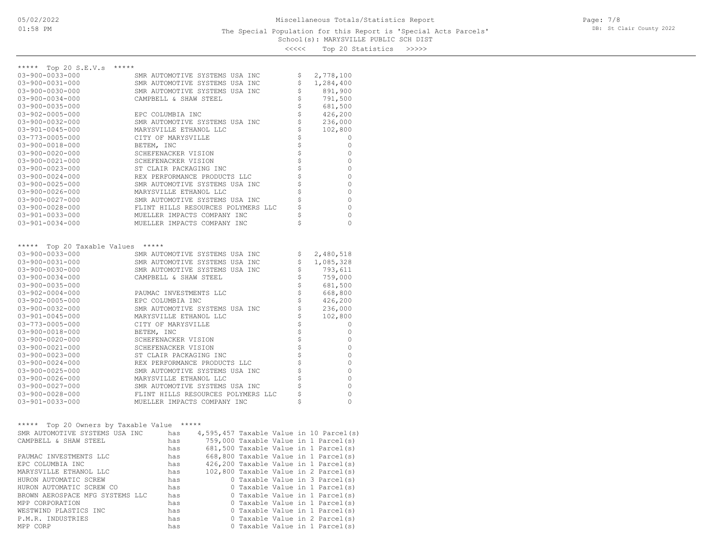## <<<<< Top 20 Statistics >>>>>

| *****                                                                                                                                                                       |                                                                                                                             |                                                                                      |
|-----------------------------------------------------------------------------------------------------------------------------------------------------------------------------|-----------------------------------------------------------------------------------------------------------------------------|--------------------------------------------------------------------------------------|
| ***** Top 20 S.E.V.s<br>$03 - 900 - 0033 - 000$                                                                                                                             | SMR AUTOMOTIVE SYSTEMS USA INC                                                                                              |                                                                                      |
| $03 - 900 - 0031 - 000$                                                                                                                                                     | SMR AUTOMOTIVE SYSTEMS USA INC                                                                                              | 2,778,100<br>\$<br>\$<br>1,284,400                                                   |
| $03 - 900 - 0030 - 000$                                                                                                                                                     | SMR AUTOMOTIVE SYSTEMS USA INC                                                                                              | \$<br>891,900                                                                        |
| $03 - 900 - 0034 - 000$                                                                                                                                                     | CAMPBELL & SHAW STEEL                                                                                                       | \$<br>791,500                                                                        |
| $03 - 900 - 0035 - 000$                                                                                                                                                     |                                                                                                                             | \$<br>681,500                                                                        |
| $03 - 902 - 0005 - 000$                                                                                                                                                     | EPC COLUMBIA INC                                                                                                            | \$<br>426,200                                                                        |
| $03 - 900 - 0032 - 000$                                                                                                                                                     | SMR AUTOMOTIVE SYSTEMS USA INC                                                                                              | \$<br>236,000                                                                        |
| $03 - 901 - 0045 - 000$                                                                                                                                                     | MARYSVILLE ETHANOL LLC                                                                                                      | \$<br>102,800                                                                        |
| $03 - 773 - 0005 - 000$                                                                                                                                                     | CITY OF MARYSVILLE                                                                                                          | \$<br>0                                                                              |
| 03-900-0018-000                                                                                                                                                             | BETEM, INC                                                                                                                  | \$<br>0                                                                              |
| $03 - 900 - 0020 - 000$                                                                                                                                                     | SCHEFENACKER VISION                                                                                                         | \$<br>0                                                                              |
| $03 - 900 - 0021 - 000$                                                                                                                                                     | SCHEFENACKER VISION                                                                                                         | \$<br>0                                                                              |
| $03 - 900 - 0023 - 000$                                                                                                                                                     | ST CLAIR PACKAGING INC                                                                                                      | \$<br>0                                                                              |
| $03 - 900 - 0024 - 000$                                                                                                                                                     | REX PERFORMANCE PRODUCTS LLC                                                                                                | $\frac{1}{2}$<br>0                                                                   |
| $03 - 900 - 0025 - 000$                                                                                                                                                     | SMR AUTOMOTIVE SYSTEMS USA INC                                                                                              | \$<br>0                                                                              |
| $03 - 900 - 0026 - 000$                                                                                                                                                     | MARYSVILLE ETHANOL LLC                                                                                                      | \$<br>$\mathbf{0}$                                                                   |
| $03 - 900 - 0027 - 000$                                                                                                                                                     | SMR AUTOMOTIVE SYSTEMS USA INC                                                                                              | \$<br>0                                                                              |
| $03 - 900 - 0028 - 000$                                                                                                                                                     | FLINT HILLS RESOURCES POLYMERS LLC                                                                                          | \$<br>$\mathbf{0}$                                                                   |
| $03 - 901 - 0033 - 000$                                                                                                                                                     | MUELLER IMPACTS COMPANY INC                                                                                                 | \$<br>$\mathbf{0}$                                                                   |
| $03 - 901 - 0034 - 000$                                                                                                                                                     | MUELLER IMPACTS COMPANY INC                                                                                                 | \$<br>$\Omega$                                                                       |
| Top 20 Taxable Values *****<br>*****<br>$03 - 900 - 0033 - 000$<br>$03 - 900 - 0031 - 000$<br>$03 - 900 - 0030 - 000$<br>$03 - 900 - 0034 - 000$<br>$03 - 900 - 0035 - 000$ | SMR AUTOMOTIVE SYSTEMS USA INC<br>SMR AUTOMOTIVE SYSTEMS USA INC<br>SMR AUTOMOTIVE SYSTEMS USA INC<br>CAMPBELL & SHAW STEEL | 2,480,518<br>Ş<br>\$<br>1,085,328<br>\$<br>793,611<br>\$<br>759,000<br>\$<br>681,500 |
| $03 - 902 - 0004 - 000$                                                                                                                                                     | PAUMAC INVESTMENTS LLC                                                                                                      | \$<br>668,800                                                                        |
| $03 - 902 - 0005 - 000$                                                                                                                                                     | EPC COLUMBIA INC                                                                                                            | \$<br>426,200                                                                        |
| $03 - 900 - 0032 - 000$                                                                                                                                                     | SMR AUTOMOTIVE SYSTEMS USA INC                                                                                              | \$<br>236,000                                                                        |
| $03 - 901 - 0045 - 000$                                                                                                                                                     | MARYSVILLE ETHANOL LLC                                                                                                      | \$<br>102,800                                                                        |
| $03 - 773 - 0005 - 000$                                                                                                                                                     | CITY OF MARYSVILLE                                                                                                          | \$<br>0                                                                              |
| $03 - 900 - 0018 - 000$                                                                                                                                                     | BETEM, INC                                                                                                                  | \$<br>0                                                                              |
| $03 - 900 - 0020 - 000$                                                                                                                                                     | SCHEFENACKER VISION                                                                                                         | \$<br>0                                                                              |
| $03 - 900 - 0021 - 000$                                                                                                                                                     | SCHEFENACKER VISION                                                                                                         | \$<br>$\mathbf{0}$                                                                   |
| $03 - 900 - 0023 - 000$                                                                                                                                                     | ST CLAIR PACKAGING INC                                                                                                      | \$<br>0                                                                              |
| $03 - 900 - 0024 - 000$                                                                                                                                                     | REX PERFORMANCE PRODUCTS LLC                                                                                                | \$<br>0                                                                              |
| $03 - 900 - 0025 - 000$                                                                                                                                                     | SMR AUTOMOTIVE SYSTEMS USA INC                                                                                              | \$<br>0                                                                              |
| $03 - 900 - 0026 - 000$                                                                                                                                                     | MARYSVILLE ETHANOL LLC                                                                                                      | \$<br>$\mathbf{0}$                                                                   |
| $03 - 900 - 0027 - 000$                                                                                                                                                     | SMR AUTOMOTIVE SYSTEMS USA INC                                                                                              | \$<br>0                                                                              |
| $03 - 900 - 0028 - 000$                                                                                                                                                     | FLINT HILLS RESOURCES POLYMERS LLC                                                                                          | \$<br>0                                                                              |
| $03 - 901 - 0033 - 000$                                                                                                                                                     | MUELLER IMPACTS COMPANY INC                                                                                                 | \$<br>$\Omega$                                                                       |
|                                                                                                                                                                             |                                                                                                                             |                                                                                      |
| ***** Top 20 Owners by Taxable Value *****                                                                                                                                  |                                                                                                                             |                                                                                      |
| SMR AUTOMOTIVE SYSTEMS USA INC                                                                                                                                              | has<br>$4,595,457$ Taxable Value in 10 Parcel(s)                                                                            |                                                                                      |
| CAMPBELL & SHAW STEEL                                                                                                                                                       | 759,000 Taxable Value in 1 Parcel(s)<br>has                                                                                 |                                                                                      |
|                                                                                                                                                                             | 681,500 Taxable Value in 1 Parcel(s)<br>has                                                                                 |                                                                                      |
| PAUMAC INVESTMENTS LLC                                                                                                                                                      | 668,800 Taxable Value in 1 Parcel(s)<br>has                                                                                 |                                                                                      |
| EPC COLUMBIA INC                                                                                                                                                            | 426,200 Taxable Value in 1 Parcel(s)<br>has                                                                                 |                                                                                      |
| MARYSVILLE ETHANOL LLC                                                                                                                                                      | 102,800 Taxable Value in 2 Parcel(s)<br>has                                                                                 |                                                                                      |
| HURON AUTOMATIC SCREW                                                                                                                                                       | 0 Taxable Value in 3 Parcel(s)<br>has                                                                                       |                                                                                      |
| HURON AUTOMATIC SCREW CO                                                                                                                                                    | 0 Taxable Value in 1 Parcel(s)<br>has                                                                                       |                                                                                      |
| BROWN AEROSPACE MFG SYSTEMS LLC                                                                                                                                             | 0 Taxable Value in 1 Parcel(s)<br>has                                                                                       |                                                                                      |
| MPP CORPORATION                                                                                                                                                             | 0 Taxable Value in 1 Parcel(s)<br>has                                                                                       |                                                                                      |
| WESTWIND PLASTICS INC                                                                                                                                                       | 0 Taxable Value in 1 Parcel(s)<br>has                                                                                       |                                                                                      |
| P.M.R. INDUSTRIES                                                                                                                                                           | 0 Taxable Value in 2 Parcel(s)<br>has                                                                                       |                                                                                      |
| MPP CORP                                                                                                                                                                    | 0 Taxable Value in 1 Parcel(s)<br>has                                                                                       |                                                                                      |